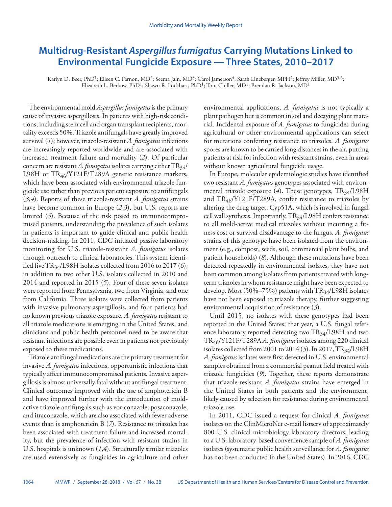# **Multidrug-Resistant** *Aspergillus fumigatus* **Carrying Mutations Linked to Environmental Fungicide Exposure — Three States, 2010–2017**

Karlyn D. Beer, PhD<sup>1</sup>; Eileen C. Farnon, MD<sup>2</sup>; Seema Jain, MD<sup>3</sup>; Carol Jamerson<sup>4</sup>; Sarah Lineberger, MPH<sup>4</sup>; Jeffrey Miller, MD<sup>5,6</sup>; Elizabeth L. Berkow, PhD1; Shawn R. Lockhart, PhD1; Tom Chiller, MD1; Brendan R. Jackson, MD1

The environmental mold *Aspergillus fumigatus* is the primary cause of invasive aspergillosis. In patients with high-risk conditions, including stem cell and organ transplant recipients, mortality exceeds 50%. Triazole antifungals have greatly improved survival (*1*); however, triazole-resistant *A. fumigatus* infections are increasingly reported worldwide and are associated with increased treatment failure and mortality (*2*). Of particular concern are resistant *A. fumigatus* isolates carrying either TR<sub>34</sub>/ L98H or  $TR_{46}/Y121F/T289A$  genetic resistance markers, which have been associated with environmental triazole fungicide use rather than previous patient exposure to antifungals (*3*,*4*). Reports of these triazole-resistant *A. fumigatus* strains have become common in Europe (*2*,*3*), but U.S. reports are limited (*5*). Because of the risk posed to immunocompromised patients, understanding the prevalence of such isolates in patients is important to guide clinical and public health decision-making. In 2011, CDC initiated passive laboratory monitoring for U.S. triazole-resistant *A. fumigatus* isolates through outreach to clinical laboratories. This system identified five TR34/L98H isolates collected from 2016 to 2017 (*6*), in addition to two other U.S. isolates collected in 2010 and 2014 and reported in 2015 (*5*). Four of these seven isolates were reported from Pennsylvania, two from Virginia, and one from California. Three isolates were collected from patients with invasive pulmonary aspergillosis, and four patients had no known previous triazole exposure. *A. fumigatus* resistant to all triazole medications is emerging in the United States, and clinicians and public health personnel need to be aware that resistant infections are possible even in patients not previously exposed to these medications.

Triazole antifungal medications are the primary treatment for invasive *A. fumigatus* infections, opportunistic infections that typically affect immunocompromised patients. Invasive aspergillosis is almost universally fatal without antifungal treatment. Clinical outcomes improved with the use of amphotericin B and have improved further with the introduction of moldactive triazole antifungals such as voriconazole, posaconazole, and itraconazole, which are also associated with fewer adverse events than is amphotericin B (*7*). Resistance to triazoles has been associated with treatment failure and increased mortality, but the prevalence of infection with resistant strains in U.S. hospitals is unknown (*1*,*4*). Structurally similar triazoles are used extensively as fungicides in agriculture and other environmental applications. *A. fumigatus* is not typically a plant pathogen but is common in soil and decaying plant material. Incidental exposure of *A. fumigatus* to fungicides during agricultural or other environmental applications can select for mutations conferring resistance to triazoles. *A. fumigatus* spores are known to be carried long distances in the air, putting patients at risk for infection with resistant strains, even in areas without known agricultural fungicide usage.

In Europe, molecular epidemiologic studies have identified two resistant *A. fumigatus* genotypes associated with environmental triazole exposure  $(4)$ . These genotypes, TR<sub>34</sub>/L98H and  $TR_{46}/Y121F/T289A$ , confer resistance to triazoles by altering the drug target, Cyp51A, which is involved in fungal cell wall synthesis. Importantly,  $TR_{34}/L98H$  confers resistance to all mold-active medical triazoles without incurring a fitness cost or survival disadvantage to the fungus. *A. fumigatus* strains of this genotype have been isolated from the environment (e.g., compost, seeds, soil, commercial plant bulbs, and patient households) (*8*). Although these mutations have been detected repeatedly in environmental isolates, they have not been common among isolates from patients treated with longterm triazoles in whom resistance might have been expected to develop. Most (50%–75%) patients with  $TR_{34}/L98H$  isolates have not been exposed to triazole therapy, further suggesting environmental acquisition of resistance (*3*).

Until 2015, no isolates with these genotypes had been reported in the United States; that year, a U.S. fungal reference laboratory reported detecting two TR<sub>34</sub>/L98H and two TR46/Y121F/T289A *A. fumigatus* isolates among 220 clinical isolates collected from 2001 to 2014 (5). In 2017, TR<sub>34</sub>/L98H *A. fumigatus* isolates were first detected in U.S. environmental samples obtained from a commercial peanut field treated with triazole fungicides (*9*). Together, these reports demonstrate that triazole-resistant *A. fumigatus* strains have emerged in the United States in both patients and the environment, likely caused by selection for resistance during environmental triazole use.

In 2011, CDC issued a request for clinical *A. fumigatus* isolates on the ClinMicroNet e-mail listserv of approximately 800 U.S. clinical microbiology laboratory directors, leading to a U.S. laboratory-based convenience sample of *A. fumigatus* isolates (systematic public health surveillance for *A. fumigatus* has not been conducted in the United States). In 2016, CDC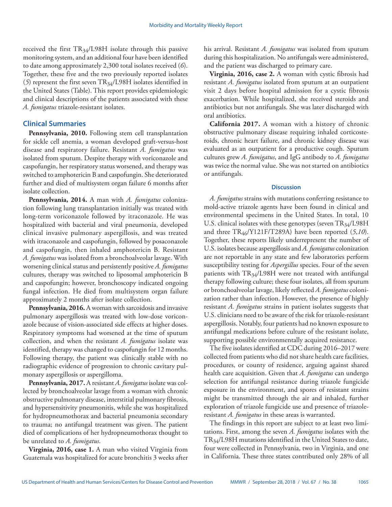received the first  $TR_{34}/L98H$  isolate through this passive monitoring system, and an additional four have been identified to date among approximately 2,300 total isolates received (*6*). Together, these five and the two previously reported isolates (5) represent the first seven  $TR_{34}/L98H$  isolates identified in the United States (Table). This report provides epidemiologic and clinical descriptions of the patients associated with these *A. fumigatus* triazole-resistant isolates.

# **Clinical Summaries**

**Pennsylvania, 2010.** Following stem cell transplantation for sickle cell anemia, a woman developed graft-versus-host disease and respiratory failure. Resistant *A. fumigatus* was isolated from sputum. Despite therapy with voriconazole and caspofungin, her respiratory status worsened, and therapy was switched to amphotericin B and caspofungin. She deteriorated further and died of multisystem organ failure 6 months after isolate collection.

**Pennsylvania, 2014.** A man with *A. fumigatus* colonization following lung transplantation initially was treated with long-term voriconazole followed by itraconazole. He was hospitalized with bacterial and viral pneumonia, developed clinical invasive pulmonary aspergillosis, and was treated with itraconazole and caspofungin, followed by posaconazole and caspofungin, then inhaled amphotericin B. Resistant *A. fumigatus* was isolated from a bronchoalveolar lavage. With worsening clinical status and persistently positive *A. fumigatus* cultures, therapy was switched to liposomal amphotericin B and caspofungin; however, bronchoscopy indicated ongoing fungal infection. He died from multisystem organ failure approximately 2 months after isolate collection.

**Pennsylvania, 2016.** A woman with sarcoidosis and invasive pulmonary aspergillosis was treated with low-dose voriconazole because of vision-associated side effects at higher doses. Respiratory symptoms had worsened at the time of sputum collection, and when the resistant *A. fumigatus* isolate was identified, therapy was changed to caspofungin for 12 months. Following therapy, the patient was clinically stable with no radiographic evidence of progression to chronic cavitary pulmonary aspergillosis or aspergilloma.

**Pennsylvania, 2017.** A resistant *A. fumigatus* isolate was collected by bronchoalveolar lavage from a woman with chronic obstructive pulmonary disease, interstitial pulmonary fibrosis, and hypersensitivity pneumonitis, while she was hospitalized for hydropneumothorax and bacterial pneumonia secondary to trauma; no antifungal treatment was given. The patient died of complications of her hydropneumothorax thought to be unrelated to *A. fumigatus*.

**Virginia, 2016, case 1.** A man who visited Virginia from Guatemala was hospitalized for acute bronchitis 3 weeks after his arrival. Resistant *A. fumigatus* was isolated from sputum during this hospitalization. No antifungals were administered, and the patient was discharged to primary care.

**Virginia, 2016, case 2.** A woman with cystic fibrosis had resistant *A. fumigatus* isolated from sputum at an outpatient visit 2 days before hospital admission for a cystic fibrosis exacerbation. While hospitalized, she received steroids and antibiotics but not antifungals. She was later discharged with oral antibiotics.

**California 2017.** A woman with a history of chronic obstructive pulmonary disease requiring inhaled corticosteroids, chronic heart failure, and chronic kidney disease was evaluated as an outpatient for a productive cough. Sputum cultures grew *A. fumigatus*, and IgG antibody to *A. fumigatus* was twice the normal value. She was not started on antibiotics or antifungals.

# **Discussion**

*A. fumigatus* strains with mutations conferring resistance to mold-active triazole agents have been found in clinical and environmental specimens in the United States. In total, 10 U.S. clinical isolates with these genotypes (seven  $TR_{34}/L98H$ and three TR46/Y121F/T289A) have been reported (*5*,*10*). Together, these reports likely underrepresent the number of U.S. isolates because aspergillosis and *A. fumigatus* colonization are not reportable in any state and few laboratories perform susceptibility testing for *Aspergillus* species. Four of the seven patients with  $TR_{34}/L98H$  were not treated with antifungal therapy following culture; these four isolates, all from sputum or bronchoalveolar lavage, likely reflected *A. fumigatus* colonization rather than infection. However, the presence of highly resistant *A. fumigatus* strains in patient isolates suggests that U.S. clinicians need to be aware of the risk for triazole-resistant aspergillosis. Notably, four patients had no known exposure to antifungal medications before culture of the resistant isolate, supporting possible environmentally acquired resistance.

The five isolates identified at CDC during 2016–2017 were collected from patients who did not share health care facilities, procedures, or county of residence, arguing against shared health care acquisition. Given that *A. fumigatus* can undergo selection for antifungal resistance during triazole fungicide exposure in the environment, and spores of resistant strains might be transmitted through the air and inhaled, further exploration of triazole fungicide use and presence of triazoleresistant *A. fumigatus* in these areas is warranted.

The findings in this report are subject to at least two limitations. First, among the seven *A. fumigatus* isolates with the TR34/L98H mutations identified in the United States to date, four were collected in Pennsylvania, two in Virginia, and one in California. These three states contributed only 28% of all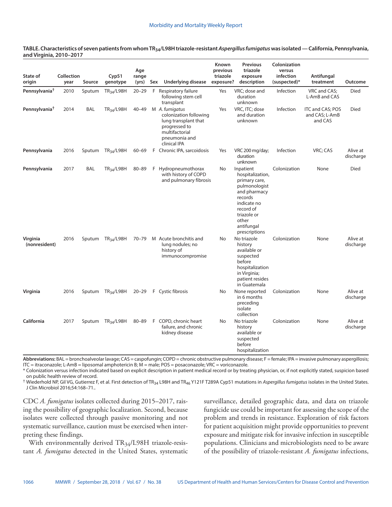#### **TABLE. Characteristics of seven patients from whom TR34/L98H triazole-resistant** *Aspergillus fumigatus* **was isolated — California, Pennsylvania, and Virginia, 2010–2017**

| State of<br>origin        | Collection<br>year | Source     | Cyp51<br>genotype             | Age<br>range<br>(yrs) | Sex | Underlying disease                                                                                                                   | Known<br>previous<br>triazole<br>exposure? | <b>Previous</b><br>triazole<br>exposure<br>description                                                                                                                        | Colonization<br>versus<br>infection<br>(suspected)* | Antifungal<br>treatment                       | Outcome               |
|---------------------------|--------------------|------------|-------------------------------|-----------------------|-----|--------------------------------------------------------------------------------------------------------------------------------------|--------------------------------------------|-------------------------------------------------------------------------------------------------------------------------------------------------------------------------------|-----------------------------------------------------|-----------------------------------------------|-----------------------|
| Pennsylvania <sup>†</sup> | 2010               | Sputum     | $TR_{34}/L98H$                | $20 - 29$             | F   | Respiratory failure<br>following stem cell<br>transplant                                                                             | Yes                                        | VRC; dose and<br>duration<br>unknown                                                                                                                                          | Infection                                           | VRC and CAS;<br>L-AmB and CAS                 | Died                  |
| Pennsylvania <sup>†</sup> | 2014               | <b>BAL</b> | <b>TR34/L98H</b>              | $40 - 49$             |     | M A. fumigatus<br>colonization following<br>lung transplant that<br>progressed to<br>multifactorial<br>pneumonia and<br>clinical IPA | Yes                                        | VRC, ITC; dose<br>and duration<br>unknown                                                                                                                                     | Infection                                           | ITC and CAS; POS<br>and CAS; L-AmB<br>and CAS | Died                  |
| Pennsylvania              | 2016               | Sputum     | TR <sub>34</sub> /L98H        | $60 - 69$             | F.  | Chronic IPA, sarcoidosis                                                                                                             | Yes                                        | VRC 200 mg/day;<br>duration<br>unknown                                                                                                                                        | Infection                                           | VRC; CAS                                      | Alive at<br>discharge |
| Pennsylvania              | 2017               | BAL        | TR <sub>34</sub> /L98H        | $80 - 89$             | F   | Hydropneumothorax<br>with history of COPD<br>and pulmonary fibrosis                                                                  | No.                                        | Inpatient<br>hospitalization,<br>primary care,<br>pulmonologist<br>and pharmacy<br>records<br>indicate no<br>record of<br>triazole or<br>other<br>antifungal<br>prescriptions | Colonization                                        | None                                          | <b>Died</b>           |
| Virginia<br>(nonresident) | 2016               | Sputum     | TR <sub>34</sub> /L98H        | $70 - 79$             |     | M Acute bronchitis and<br>lung nodules; no<br>history of<br>immunocompromise                                                         | <b>No</b>                                  | No triazole<br>history<br>available or<br>suspected<br>before<br>hospitalization<br>in Virginia;<br>patient resides<br>in Guatemala                                           | Colonization                                        | None                                          | Alive at<br>discharge |
| Virginia                  | 2016               | Sputum     | $TR_{34}/L98H$                | $20 - 29$             |     | F Cystic fibrosis                                                                                                                    | No.                                        | None reported<br>in 6 months<br>preceding<br>isolate<br>collection                                                                                                            | Colonization                                        | None                                          | Alive at<br>discharge |
| California                | 2017               |            | Sputum TR <sub>34</sub> /L98H | $80 - 89$             | F.  | COPD, chronic heart<br>failure, and chronic<br>kidney disease                                                                        | <b>No</b>                                  | No triazole<br>history<br>available or<br>suspected<br>before<br>hospitalization                                                                                              | Colonization                                        | None                                          | Alive at<br>discharge |

**Abbreviations:** BAL = bronchoalveolar lavage; CAS = caspofungin; COPD = chronic obstructive pulmonary disease; F = female; IPA = invasive pulmonary aspergillosis; ITC = itraconazole; L-AmB = liposomal amphotericin B; M = male; POS = posaconazole; VRC = voriconazole.

\* Colonization versus infection indicated based on explicit description in patient medical record or by treating physician, or, if not explicitly stated, suspicion based on public health review of record.

† Wiederhold NP, Gil VG, Gutierrez F, et al. First detection of TR34 L98H and TR46 Y121F T289A Cyp51 mutations in *Aspergillus fumigatus* isolates in the United States. J Clin Microbiol 2016;54:168–71..

CDC *A. fumigatus* isolates collected during 2015–2017, raising the possibility of geographic localization. Second, because isolates were collected through passive monitoring and not systematic surveillance, caution must be exercised when interpreting these findings.

With environmentally derived TR<sub>34</sub>/L98H triazole-resistant *A. fumigatus* detected in the United States, systematic surveillance, detailed geographic data, and data on triazole fungicide use could be important for assessing the scope of the problem and trends in resistance. Exploration of risk factors for patient acquisition might provide opportunities to prevent exposure and mitigate risk for invasive infection in susceptible populations. Clinicians and microbiologists need to be aware of the possibility of triazole-resistant *A. fumigatus* infections,